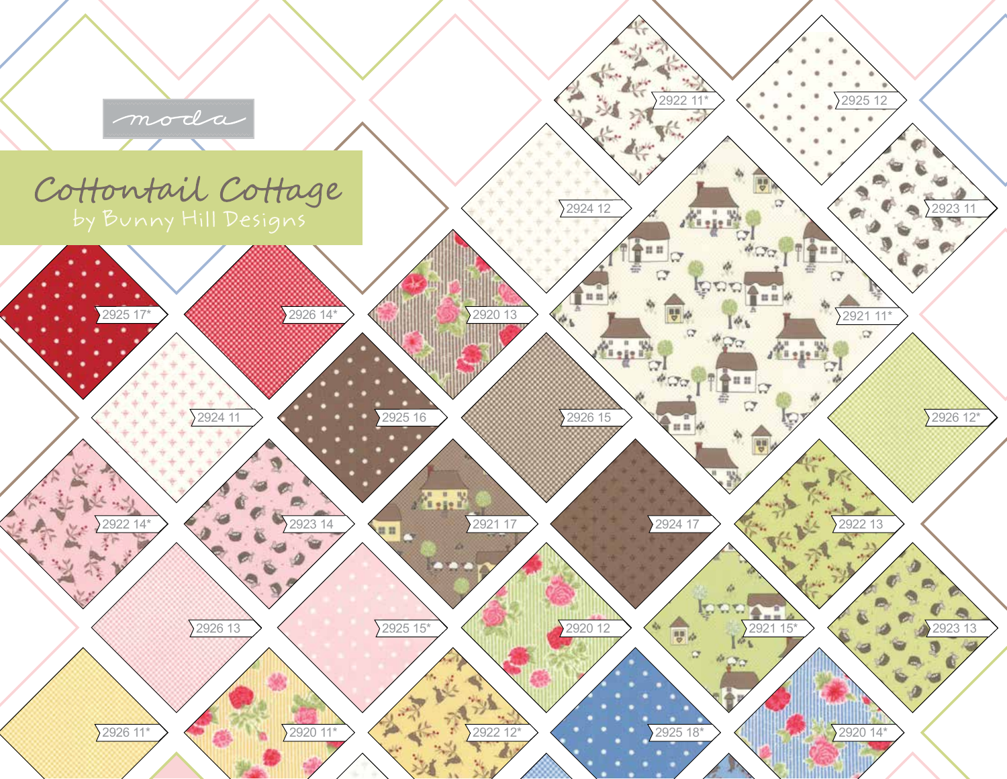